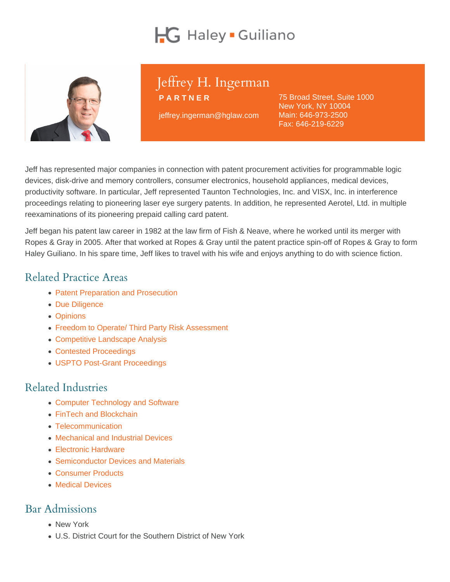# Jeffrey H. Ingerman

PARTNER

jeffrey.ingerman@hglaw.com

75 Broad Street, Suite 1000 New York, NY 10004 Main: [646-973-2500](tel:+1-646-973-2500) Fax: 646-219-6229

Jeff has represented major companies in connection with patent procurement activities for programmable logic devices, disk-drive and memory controllers, consumer electronics, household appliances, medical devices, productivity software. In particular, Jeff represented Taunton Technologies, Inc. and VISX, Inc. in interference proceedings relating to pioneering laser eye surgery patents. In addition, he represented Aerotel, Ltd. in multiple reexaminations of its pioneering prepaid calling card patent.

Jeff began his patent law career in 1982 at the law firm of Fish & Neave, where he worked until its merger with Ropes & Gray in 2005. After that worked at Ropes & Gray until the patent practice spin-off of Ropes & Gray to form Haley Guiliano. In his spare time, Jeff likes to travel with his wife and enjoys anything to do with science fiction.

## Related Practice Areas

- [Patent Preparation and Prosecution](https://www.hglaw.com/practice-areas/patents/patent-preparation-prosecution/)
- [Due Diligence](https://www.hglaw.com/practice-areas/strategic-counseling/due-diligence/)
- [Opinions](https://www.hglaw.com/practice-areas/strategic-counseling/opinions/)
- [Freedom to Operate/ Third Party Risk Assessment](https://www.hglaw.com/practice-areas/strategic-counseling/freedom-to-operate-third-party-risk-assessment/)
- [Competitive Landscape Analysis](https://www.hglaw.com/practice-areas/strategic-counseling/competitive-landscape-analysis/)
- [Contested Proceedings](https://www.hglaw.com/practice-areas/contested-proceedings/)
- [USPTO Post-Grant Proceedings](https://www.hglaw.com/practice-areas/contested-proceedings/uspto-post-grant-proceedings/)

#### Related Industries

- [Computer Technology and Software](https://www.hglaw.com/industries/computer-technology-software/)
- [FinTech and Blockchain](https://www.hglaw.com/industries/fintech-blockchain/)
- [Telecommunication](https://www.hglaw.com/industries/telecommunications/)
- [Mechanical and Industrial Devices](https://www.hglaw.com/industries/mechanical-industrial-devices/)
- [Electronic Hardware](https://www.hglaw.com/industries/electronic-hardware/)
- [Semiconductor Devices and Materials](https://www.hglaw.com/industries/semiconductors-devices-materials/)
- [Consumer Products](https://www.hglaw.com/industries/consumer-products/)
- [Medical Devices](https://www.hglaw.com/industries/medical-devices/)

#### Bar Admissions

- New York
- U.S. District Court for the Southern District of New York